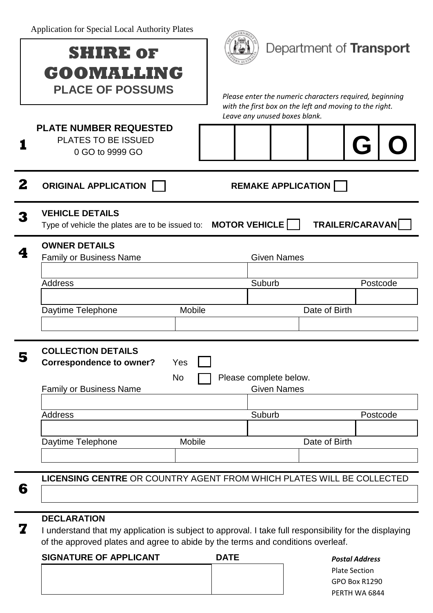Application for Special Local Authority Plates

|                                                      | Application for Special Local Authority Plates                                                                |                                                                                                        |                         |  |  |  |  |
|------------------------------------------------------|---------------------------------------------------------------------------------------------------------------|--------------------------------------------------------------------------------------------------------|-------------------------|--|--|--|--|
|                                                      | <b>SHIRE OF</b>                                                                                               |                                                                                                        | Department of Transport |  |  |  |  |
|                                                      | GOOMALLING                                                                                                    |                                                                                                        |                         |  |  |  |  |
|                                                      | <b>PLACE OF POSSUMS</b>                                                                                       | Please enter the numeric characters required, beginning                                                |                         |  |  |  |  |
|                                                      |                                                                                                               | with the first box on the left and moving to the right.<br>Leave any unused boxes blank.               |                         |  |  |  |  |
|                                                      | <b>PLATE NUMBER REQUESTED</b><br>PLATES TO BE ISSUED                                                          |                                                                                                        |                         |  |  |  |  |
|                                                      | 0 GO to 9999 GO                                                                                               |                                                                                                        | (j                      |  |  |  |  |
|                                                      |                                                                                                               |                                                                                                        |                         |  |  |  |  |
| 2                                                    | <b>ORIGINAL APPLICATION</b><br><b>REMAKE APPLICATION</b>                                                      |                                                                                                        |                         |  |  |  |  |
|                                                      | <b>VEHICLE DETAILS</b><br>Type of vehicle the plates are to be issued to: $\blacksquare$ <b>MOTOR VEHICLE</b> |                                                                                                        | TRAILER/CARAVAN         |  |  |  |  |
|                                                      | <b>OWNER DETAILS</b>                                                                                          |                                                                                                        |                         |  |  |  |  |
|                                                      | <b>Family or Business Name</b>                                                                                | <b>Given Names</b>                                                                                     |                         |  |  |  |  |
|                                                      | <b>Address</b>                                                                                                | Suburb                                                                                                 | Postcode                |  |  |  |  |
|                                                      |                                                                                                               |                                                                                                        |                         |  |  |  |  |
|                                                      | Daytime Telephone<br><b>Mobile</b>                                                                            |                                                                                                        | Date of Birth           |  |  |  |  |
|                                                      |                                                                                                               |                                                                                                        |                         |  |  |  |  |
| Э                                                    | <b>COLLECTION DETAILS</b><br><b>Correspondence to owner?</b><br>Yes                                           |                                                                                                        |                         |  |  |  |  |
|                                                      | No<br>Please complete below.                                                                                  |                                                                                                        |                         |  |  |  |  |
| <b>Given Names</b><br><b>Family or Business Name</b> |                                                                                                               |                                                                                                        |                         |  |  |  |  |
|                                                      | <b>Address</b>                                                                                                | Suburb                                                                                                 | Postcode                |  |  |  |  |
|                                                      |                                                                                                               |                                                                                                        |                         |  |  |  |  |
|                                                      | Mobile<br>Daytime Telephone                                                                                   |                                                                                                        | Date of Birth           |  |  |  |  |
|                                                      |                                                                                                               |                                                                                                        |                         |  |  |  |  |
| 6                                                    | <b>LICENSING CENTRE OR COUNTRY AGENT FROM WHICH PLATES WILL BE COLLECTED</b>                                  |                                                                                                        |                         |  |  |  |  |
|                                                      |                                                                                                               |                                                                                                        |                         |  |  |  |  |
|                                                      | <b>DECLARATION</b>                                                                                            |                                                                                                        |                         |  |  |  |  |
| 7                                                    |                                                                                                               | I understand that my application is subject to approval. I take full responsibility for the displaying |                         |  |  |  |  |

**DATE** 

*Postal Address* Plate Section GPO Box R1290 PERTH WA 6844